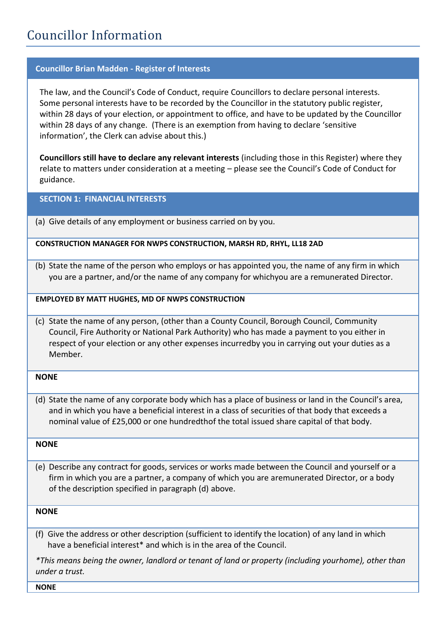# Councillor Information

## **Councillor Brian Madden - Register of Interests**

The law, and the Council's Code of Conduct, require Councillors to declare personal interests. Some personal interests have to be recorded by the Councillor in the statutory public register, within 28 days of your election, or appointment to office, and have to be updated by the Councillor within 28 days of any change. (There is an exemption from having to declare 'sensitive information', the Clerk can advise about this.)

**Councillors still have to declare any relevant interests** (including those in this Register) where they relate to matters under consideration at a meeting – please see the Council's Code of Conduct for guidance.

**SECTION 1: FINANCIAL INTERESTS**

(a) Give details of any employment or business carried on by you.

## **CONSTRUCTION MANAGER FOR NWPS CONSTRUCTION, MARSH RD, RHYL, LL18 2AD**

(b) State the name of the person who employs or has appointed you, the name of any firm in which you are a partner, and/or the name of any company for whichyou are a remunerated Director.

**EMPLOYED BY MATT HUGHES, MD OF NWPS CONSTRUCTION**

(c) State the name of any person, (other than a County Council, Borough Council, Community Council, Fire Authority or National Park Authority) who has made a payment to you either in respect of your election or any other expenses incurredby you in carrying out your duties as a Member.

## **NONE**

(d) State the name of any corporate body which has a place of business or land in the Council's area, and in which you have a beneficial interest in a class of securities of that body that exceeds a nominal value of £25,000 or one hundredthof the total issued share capital of that body.

## **NONE**

(e) Describe any contract for goods, services or works made between the Council and yourself or a firm in which you are a partner, a company of which you are aremunerated Director, or a body of the description specified in paragraph (d) above.

## **NONE**

 (f) Give the address or other description (sufficient to identify the location) of any land in which have a beneficial interest\* and which is in the area of the Council.

*\*This means being the owner, landlord or tenant of land or property (including yourhome), other than under a trust.*

**NONE**